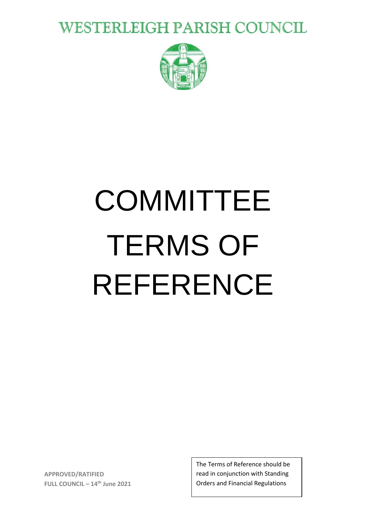**WESTERLEIGH PARISH COUNCIL** 



# **COMMITTEE** TERMS OF REFERENCE

**APPROVED/RATIFIED FULL COUNCIL – 14th June 2021** The Terms of Reference should be read in conjunction with Standing Orders and Financial Regulations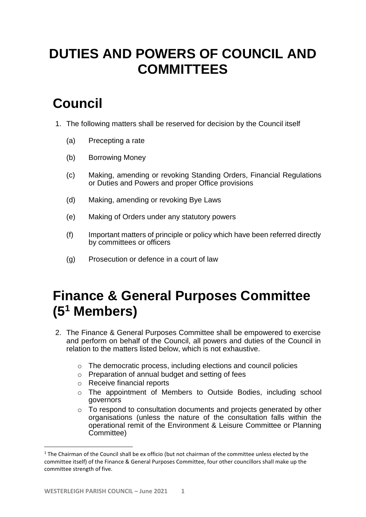# **DUTIES AND POWERS OF COUNCIL AND COMMITTEES**

# **Council**

- 1. The following matters shall be reserved for decision by the Council itself
	- (a) Precepting a rate
	- (b) Borrowing Money
	- (c) Making, amending or revoking Standing Orders, Financial Regulations or Duties and Powers and proper Office provisions
	- (d) Making, amending or revoking Bye Laws
	- (e) Making of Orders under any statutory powers
	- (f) Important matters of principle or policy which have been referred directly by committees or officers
	- (g) Prosecution or defence in a court of law

### **Finance & General Purposes Committee (5<sup>1</sup> Members)**

- 2. The Finance & General Purposes Committee shall be empowered to exercise and perform on behalf of the Council, all powers and duties of the Council in relation to the matters listed below, which is not exhaustive.
	- o The democratic process, including elections and council policies
	- o Preparation of annual budget and setting of fees
	- o Receive financial reports
	- o The appointment of Members to Outside Bodies, including school governors
	- o To respond to consultation documents and projects generated by other organisations (unless the nature of the consultation falls within the operational remit of the Environment & Leisure Committee or Planning Committee)

**.** 

 $1$  The Chairman of the Council shall be ex officio (but not chairman of the committee unless elected by the committee itself) of the Finance & General Purposes Committee, four other councillors shall make up the committee strength of five.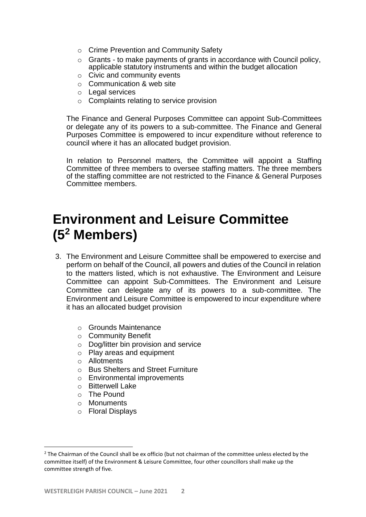- o Crime Prevention and Community Safety
- o Grants to make payments of grants in accordance with Council policy, applicable statutory instruments and within the budget allocation
- o Civic and community events
- o Communication & web site
- o Legal services
- o Complaints relating to service provision

The Finance and General Purposes Committee can appoint Sub-Committees or delegate any of its powers to a sub-committee. The Finance and General Purposes Committee is empowered to incur expenditure without reference to council where it has an allocated budget provision.

In relation to Personnel matters, the Committee will appoint a Staffing Committee of three members to oversee staffing matters. The three members of the staffing committee are not restricted to the Finance & General Purposes Committee members.

#### **Environment and Leisure Committee (5<sup>2</sup> Members)**

- 3. The Environment and Leisure Committee shall be empowered to exercise and perform on behalf of the Council, all powers and duties of the Council in relation to the matters listed, which is not exhaustive. The Environment and Leisure Committee can appoint Sub-Committees. The Environment and Leisure Committee can delegate any of its powers to a sub-committee. The Environment and Leisure Committee is empowered to incur expenditure where it has an allocated budget provision
	- o Grounds Maintenance
	- o Community Benefit
	- o Dog/litter bin provision and service
	- o Play areas and equipment
	- o Allotments
	- o Bus Shelters and Street Furniture
	- o Environmental improvements
	- o Bitterwell Lake
	- $\circ$  The Pound
	- o Monuments

**.** 

o Floral Displays

<sup>&</sup>lt;sup>2</sup> The Chairman of the Council shall be ex officio (but not chairman of the committee unless elected by the committee itself) of the Environment & Leisure Committee, four other councillors shall make up the committee strength of five.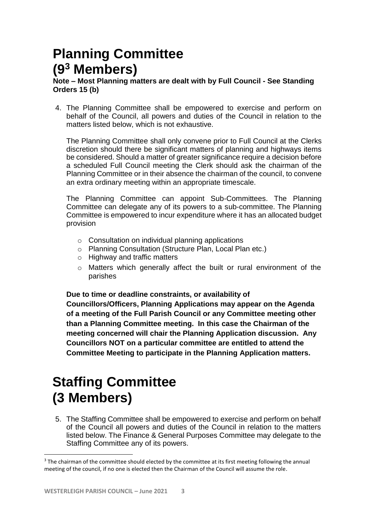# **Planning Committee (9<sup>3</sup> Members)**

#### **Note – Most Planning matters are dealt with by Full Council - See Standing Orders 15 (b)**

4. The Planning Committee shall be empowered to exercise and perform on behalf of the Council, all powers and duties of the Council in relation to the matters listed below, which is not exhaustive.

The Planning Committee shall only convene prior to Full Council at the Clerks discretion should there be significant matters of planning and highways items be considered. Should a matter of greater significance require a decision before a scheduled Full Council meeting the Clerk should ask the chairman of the Planning Committee or in their absence the chairman of the council, to convene an extra ordinary meeting within an appropriate timescale.

The Planning Committee can appoint Sub-Committees. The Planning Committee can delegate any of its powers to a sub-committee. The Planning Committee is empowered to incur expenditure where it has an allocated budget provision

- o Consultation on individual planning applications
- o Planning Consultation (Structure Plan, Local Plan etc.)
- o Highway and traffic matters
- o Matters which generally affect the built or rural environment of the parishes

**Due to time or deadline constraints, or availability of** 

**Councillors/Officers, Planning Applications may appear on the Agenda of a meeting of the Full Parish Council or any Committee meeting other than a Planning Committee meeting. In this case the Chairman of the meeting concerned will chair the Planning Application discussion. Any Councillors NOT on a particular committee are entitled to attend the Committee Meeting to participate in the Planning Application matters.**

# **Staffing Committee (3 Members)**

5. The Staffing Committee shall be empowered to exercise and perform on behalf of the Council all powers and duties of the Council in relation to the matters listed below. The Finance & General Purposes Committee may delegate to the Staffing Committee any of its powers.

**.** 

<sup>&</sup>lt;sup>3</sup> The chairman of the committee should elected by the committee at its first meeting following the annual meeting of the council, if no one is elected then the Chairman of the Council will assume the role.